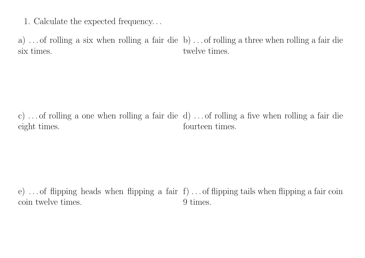1. Calculate the expected frequency. . .

a) . . . of rolling a six when rolling a fair die b) . . . of rolling a three when rolling a fair die six times. twelve times.

c)... of rolling a one when rolling a fair die d)... of rolling a five when rolling a fair die eight times. fourteen times.

e)... of flipping heads when flipping a fair f)... of flipping tails when flipping a fair coin coin twelve times. 9 times.